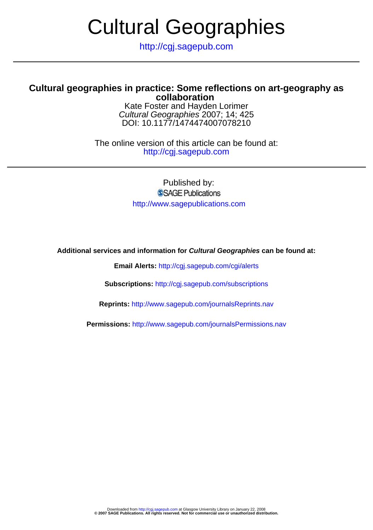# Cultural Geographies

http://cgj.sagepub.com

#### **collaboration Cultural geographies in practice: Some reflections on art-geography as**

DOI: 10.1177/1474474007078210 Cultural Geographies 2007; 14; 425 Kate Foster and Hayden Lorimer

http://cgj.sagepub.com The online version of this article can be found at:

> Published by: SSAGE Publications http://www.sagepublications.com

**Additional services and information for Cultural Geographies can be found at:**

**Email Alerts:** <http://cgj.sagepub.com/cgi/alerts>

**Subscriptions:** <http://cgj.sagepub.com/subscriptions>

**Reprints:** <http://www.sagepub.com/journalsReprints.nav>

**Permissions:** <http://www.sagepub.com/journalsPermissions.nav>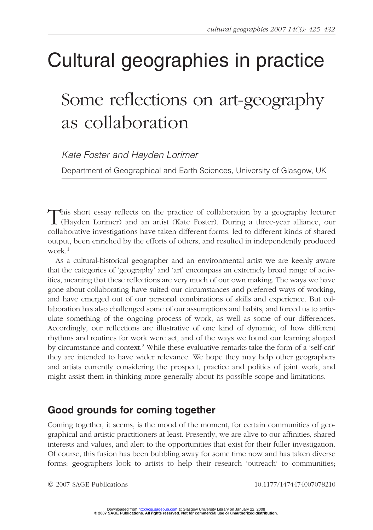# Cultural geographies in practice

## Some reflections on art-geography as collaboration

Kate Foster and Hayden Lorimer

Department of Geographical and Earth Sciences, University of Glasgow, UK

This short essay reflects on the practice of collaboration by a geography lecturer<br>(Hayden Lorimer) and an artist (Kate Foster). During a three-year alliance, our collaborative investigations have taken different forms, led to different kinds of shared output, been enriched by the efforts of others, and resulted in independently produced work.1

As a cultural-historical geographer and an environmental artist we are keenly aware that the categories of 'geography' and 'art' encompass an extremely broad range of activities, meaning that these reflections are very much of our own making. The ways we have gone about collaborating have suited our circumstances and preferred ways of working, and have emerged out of our personal combinations of skills and experience. But collaboration has also challenged some of our assumptions and habits, and forced us to articulate something of the ongoing process of work, as well as some of our differences. Accordingly, our reflections are illustrative of one kind of dynamic, of how different rhythms and routines for work were set, and of the ways we found our learning shaped by circumstance and context.2 While these evaluative remarks take the form of a 'self-crit' they are intended to have wider relevance. We hope they may help other geographers and artists currently considering the prospect, practice and politics of joint work, and might assist them in thinking more generally about its possible scope and limitations.

## **Good grounds for coming together**

Coming together, it seems, is the mood of the moment, for certain communities of geographical and artistic practitioners at least. Presently, we are alive to our affinities, shared interests and values, and alert to the opportunities that exist for their fuller investigation. Of course, this fusion has been bubbling away for some time now and has taken diverse forms: geographers look to artists to help their research 'outreach' to communities;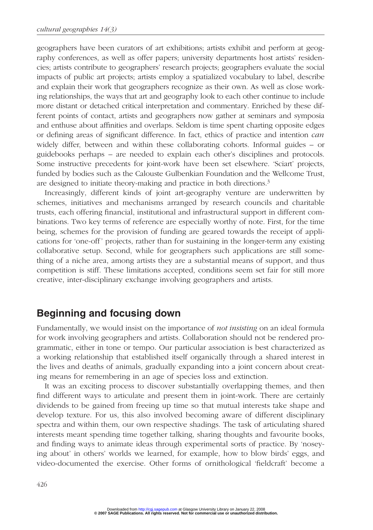geographers have been curators of art exhibitions; artists exhibit and perform at geography conferences, as well as offer papers; university departments host artists' residencies; artists contribute to geographers' research projects; geographers evaluate the social impacts of public art projects; artists employ a spatialized vocabulary to label, describe and explain their work that geographers recognize as their own. As well as close working relationships, the ways that art and geography look to each other continue to include more distant or detached critical interpretation and commentary. Enriched by these different points of contact, artists and geographers now gather at seminars and symposia and enthuse about affinities and overlaps. Seldom is time spent charting opposite edges or defining areas of significant difference. In fact, ethics of practice and intention *can* widely differ, between and within these collaborating cohorts. Informal guides – or guidebooks perhaps – are needed to explain each other's disciplines and protocols. Some instructive precedents for joint-work have been set elsewhere. 'Sciart' projects, funded by bodies such as the Calouste Gulbenkian Foundation and the Wellcome Trust, are designed to initiate theory-making and practice in both directions.3

Increasingly, different kinds of joint art-geography venture are underwritten by schemes, initiatives and mechanisms arranged by research councils and charitable trusts, each offering financial, institutional and infrastructural support in different combinations. Two key terms of reference are especially worthy of note. First, for the time being, schemes for the provision of funding are geared towards the receipt of applications for 'one-off' projects, rather than for sustaining in the longer-term any existing collaborative setup. Second, while for geographers such applications are still something of a niche area, among artists they are a substantial means of support, and thus competition is stiff. These limitations accepted, conditions seem set fair for still more creative, inter-disciplinary exchange involving geographers and artists.

#### **Beginning and focusing down**

Fundamentally, we would insist on the importance of *not insisting* on an ideal formula for work involving geographers and artists. Collaboration should not be rendered programmatic, either in tone or tempo. Our particular association is best characterized as a working relationship that established itself organically through a shared interest in the lives and deaths of animals, gradually expanding into a joint concern about creating means for remembering in an age of species loss and extinction.

It was an exciting process to discover substantially overlapping themes, and then find different ways to articulate and present them in joint-work. There are certainly dividends to be gained from freeing up time so that mutual interests take shape and develop texture. For us, this also involved becoming aware of different disciplinary spectra and within them, our own respective shadings. The task of articulating shared interests meant spending time together talking, sharing thoughts and favourite books, and finding ways to animate ideas through experimental sorts of practice. By 'noseying about' in others' worlds we learned, for example, how to blow birds' eggs, and video-documented the exercise. Other forms of ornithological 'fieldcraft' become a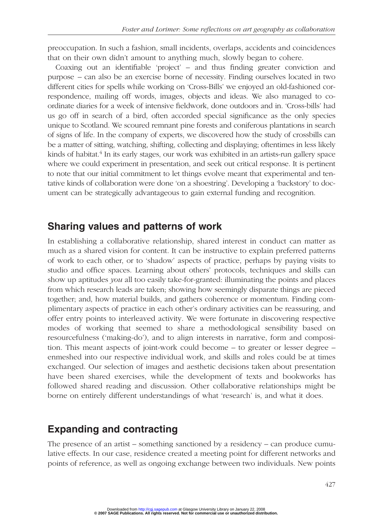preoccupation. In such a fashion, small incidents, overlaps, accidents and coincidences that on their own didn't amount to anything much, slowly began to cohere.

Coaxing out an identifiable 'project' – and thus finding greater conviction and purpose – can also be an exercise borne of necessity. Finding ourselves located in two different cities for spells while working on 'Cross-Bills' we enjoyed an old-fashioned correspondence, mailing off words, images, objects and ideas. We also managed to coordinate diaries for a week of intensive fieldwork, done outdoors and in. 'Cross-bills' had us go off in search of a bird, often accorded special significance as the only species unique to Scotland. We scoured remnant pine forests and coniferous plantations in search of signs of life. In the company of experts, we discovered how the study of crossbills can be a matter of sitting, watching, shifting, collecting and displaying; oftentimes in less likely kinds of habitat.<sup>4</sup> In its early stages, our work was exhibited in an artists-run gallery space where we could experiment in presentation, and seek out critical response. It is pertinent to note that our initial commitment to let things evolve meant that experimental and tentative kinds of collaboration were done 'on a shoestring'. Developing a 'backstory' to document can be strategically advantageous to gain external funding and recognition.

#### **Sharing values and patterns of work**

In establishing a collaborative relationship, shared interest in conduct can matter as much as a shared vision for content. It can be instructive to explain preferred patterns of work to each other, or to 'shadow' aspects of practice, perhaps by paying visits to studio and office spaces. Learning about others' protocols, techniques and skills can show up aptitudes *you* all too easily take-for-granted: illuminating the points and places from which research leads are taken; showing how seemingly disparate things are pieced together; and, how material builds, and gathers coherence or momentum. Finding complimentary aspects of practice in each other's ordinary activities can be reassuring, and offer entry points to interleaved activity. We were fortunate in discovering respective modes of working that seemed to share a methodological sensibility based on resourcefulness ('making-do'), and to align interests in narrative, form and composition. This meant aspects of joint-work could become – to greater or lesser degree – enmeshed into our respective individual work, and skills and roles could be at times exchanged. Our selection of images and aesthetic decisions taken about presentation have been shared exercises, while the development of texts and bookworks has followed shared reading and discussion. Other collaborative relationships might be borne on entirely different understandings of what 'research' is, and what it does.

## **Expanding and contracting**

The presence of an artist – something sanctioned by a residency – can produce cumulative effects. In our case, residence created a meeting point for different networks and points of reference, as well as ongoing exchange between two individuals. New points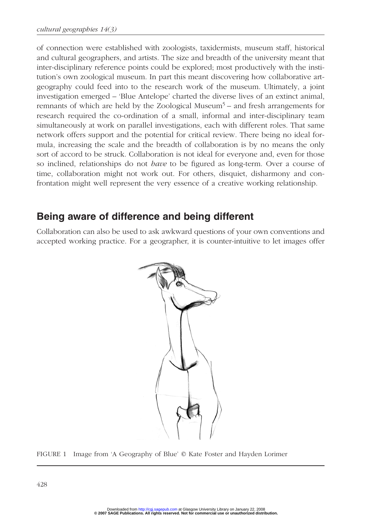of connection were established with zoologists, taxidermists, museum staff, historical and cultural geographers, and artists. The size and breadth of the university meant that inter-disciplinary reference points could be explored; most productively with the institution's own zoological museum. In part this meant discovering how collaborative artgeography could feed into to the research work of the museum. Ultimately, a joint investigation emerged – 'Blue Antelope' charted the diverse lives of an extinct animal, remnants of which are held by the Zoological Museum<sup>5</sup> – and fresh arrangements for research required the co-ordination of a small, informal and inter-disciplinary team simultaneously at work on parallel investigations, each with different roles. That same network offers support and the potential for critical review. There being no ideal formula, increasing the scale and the breadth of collaboration is by no means the only sort of accord to be struck. Collaboration is not ideal for everyone and, even for those so inclined, relationships do not *have* to be figured as long-term. Over a course of time, collaboration might not work out. For others, disquiet, disharmony and confrontation might well represent the very essence of a creative working relationship.

#### **Being aware of difference and being different**

Collaboration can also be used to ask awkward questions of your own conventions and accepted working practice. For a geographer, it is counter-intuitive to let images offer



FIGURE 1 Image from 'A Geography of Blue' © Kate Foster and Hayden Lorimer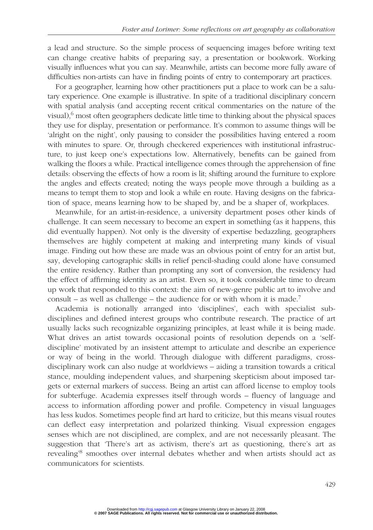a lead and structure. So the simple process of sequencing images before writing text can change creative habits of preparing say, a presentation or bookwork. Working visually influences what you can say. Meanwhile, artists can become more fully aware of difficulties non-artists can have in finding points of entry to contemporary art practices.

For a geographer, learning how other practitioners put a place to work can be a salutary experience. One example is illustrative. In spite of a traditional disciplinary concern with spatial analysis (and accepting recent critical commentaries on the nature of the visual), $<sup>6</sup>$  most often geographers dedicate little time to thinking about the physical spaces</sup> they use for display, presentation or performance. It's common to assume things will be 'alright on the night', only pausing to consider the possibilities having entered a room with minutes to spare. Or, through checkered experiences with institutional infrastructure, to just keep one's expectations low. Alternatively, benefits can be gained from walking the floors a while. Practical intelligence comes through the apprehension of fine details: observing the effects of how a room is lit; shifting around the furniture to explore the angles and effects created; noting the ways people move through a building as a means to tempt them to stop and look a while en route. Having designs on the fabrication of space, means learning how to be shaped by, and be a shaper of, workplaces.

Meanwhile, for an artist-in-residence, a university department poses other kinds of challenge. It can seem necessary to become an expert in something (as it happens, this did eventually happen). Not only is the diversity of expertise bedazzling, geographers themselves are highly competent at making and interpreting many kinds of visual image. Finding out how these are made was an obvious point of entry for an artist but, say, developing cartographic skills in relief pencil-shading could alone have consumed the entire residency. Rather than prompting any sort of conversion, the residency had the effect of affirming identity as an artist. Even so, it took considerable time to dream up work that responded to this context: the aim of new-genre public art to involve and consult – as well as challenge – the audience for or with whom it is made.7

Academia is notionally arranged into 'disciplines', each with specialist subdisciplines and defined interest groups who contribute research. The practice of art usually lacks such recognizable organizing principles, at least while it is being made. What drives an artist towards occasional points of resolution depends on a 'selfdiscipline' motivated by an insistent attempt to articulate and describe an experience or way of being in the world. Through dialogue with different paradigms, crossdisciplinary work can also nudge at worldviews – aiding a transition towards a critical stance, moulding independent values, and sharpening skepticism about imposed targets or external markers of success. Being an artist can afford license to employ tools for subterfuge. Academia expresses itself through words – fluency of language and access to information affording power and profile. Competency in visual languages has less kudos. Sometimes people find art hard to criticize, but this means visual routes can deflect easy interpretation and polarized thinking. Visual expression engages senses which are not disciplined, are complex, and are not necessarily pleasant. The suggestion that 'There's art as activism, there's art as questioning, there's art as revealing'8 smoothes over internal debates whether and when artists should act as communicators for scientists.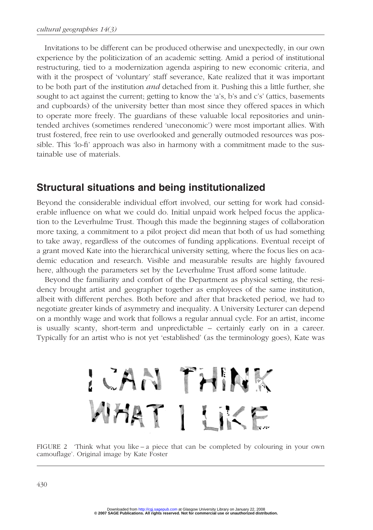Invitations to be different can be produced otherwise and unexpectedly, in our own experience by the politicization of an academic setting. Amid a period of institutional restructuring, tied to a modernization agenda aspiring to new economic criteria, and with it the prospect of 'voluntary' staff severance, Kate realized that it was important to be both part of the institution *and* detached from it. Pushing this a little further, she sought to act against the current; getting to know the 'a's, b's and c's' (attics, basements and cupboards) of the university better than most since they offered spaces in which to operate more freely. The guardians of these valuable local repositories and unintended archives (sometimes rendered 'uneconomic') were most important allies. With trust fostered, free rein to use overlooked and generally outmoded resources was possible. This 'lo-fi' approach was also in harmony with a commitment made to the sustainable use of materials.

#### **Structural situations and being institutionalized**

Beyond the considerable individual effort involved, our setting for work had considerable influence on what we could do. Initial unpaid work helped focus the application to the Leverhulme Trust. Though this made the beginning stages of collaboration more taxing, a commitment to a pilot project did mean that both of us had something to take away, regardless of the outcomes of funding applications. Eventual receipt of a grant moved Kate into the hierarchical university setting, where the focus lies on academic education and research. Visible and measurable results are highly favoured here, although the parameters set by the Leverhulme Trust afford some latitude.

Beyond the familiarity and comfort of the Department as physical setting, the residency brought artist and geographer together as employees of the same institution, albeit with different perches. Both before and after that bracketed period, we had to negotiate greater kinds of asymmetry and inequality. A University Lecturer can depend on a monthly wage and work that follows a regular annual cycle. For an artist, income is usually scanty, short-term and unpredictable – certainly early on in a career. Typically for an artist who is not yet 'established' (as the terminology goes), Kate was



FIGURE 2 'Think what you like – a piece that can be completed by colouring in your own camouflage'. Original image by Kate Foster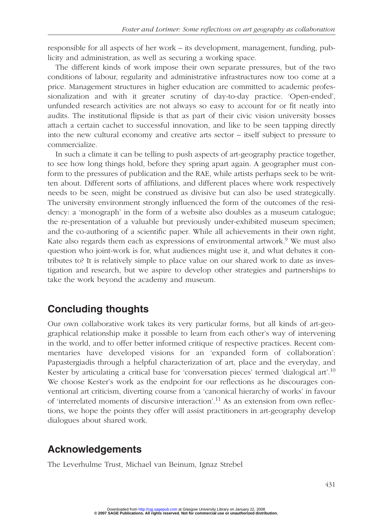responsible for all aspects of her work – its development, management, funding, publicity and administration, as well as securing a working space.

The different kinds of work impose their own separate pressures, but of the two conditions of labour, regularity and administrative infrastructures now too come at a price. Management structures in higher education are committed to academic professionalization and with it greater scrutiny of day-to-day practice. 'Open-ended', unfunded research activities are not always so easy to account for or fit neatly into audits. The institutional flipside is that as part of their civic vision university bosses attach a certain cachet to successful innovation, and like to be seen tapping directly into the new cultural economy and creative arts sector – itself subject to pressure to commercialize.

In such a climate it can be telling to push aspects of art-geography practice together, to see how long things hold, before they spring apart again. A geographer must conform to the pressures of publication and the RAE, while artists perhaps seek to be written about. Different sorts of affiliations, and different places where work respectively needs to be seen, might be construed as divisive but can also be used strategically. The university environment strongly influenced the form of the outcomes of the residency: a 'monograph' in the form of a website also doubles as a museum catalogue; the re-presentation of a valuable but previously under-exhibited museum specimen; and the co-authoring of a scientific paper. While all achievements in their own right, Kate also regards them each as expressions of environmental artwork.<sup>9</sup> We must also question who joint-work is for, what audiences might use it, and what debates it contributes to? It is relatively simple to place value on our shared work to date as investigation and research, but we aspire to develop other strategies and partnerships to take the work beyond the academy and museum.

## **Concluding thoughts**

Our own collaborative work takes its very particular forms, but all kinds of art-geographical relationship make it possible to learn from each other's way of intervening in the world, and to offer better informed critique of respective practices. Recent commentaries have developed visions for an 'expanded form of collaboration': Papastergiadis through a helpful characterization of art, place and the everyday, and Kester by articulating a critical base for 'conversation pieces' termed 'dialogical art'.<sup>10</sup> We choose Kester's work as the endpoint for our reflections as he discourages conventional art criticism, diverting course from a 'canonical hierarchy of works' in favour of 'interrelated moments of discursive interaction'.<sup>11</sup> As an extension from own reflections, we hope the points they offer will assist practitioners in art-geography develop dialogues about shared work.

## **Acknowledgements**

The Leverhulme Trust, Michael van Beinum, Ignaz Strebel